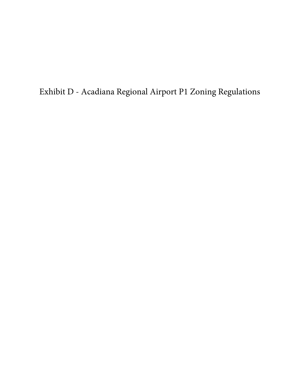Exhibit D - Acadiana Regional Airport P1 Zoning Regulations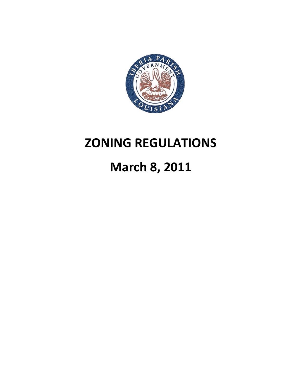

# **ZONING REGULATIONS**

# **March 8, 2011**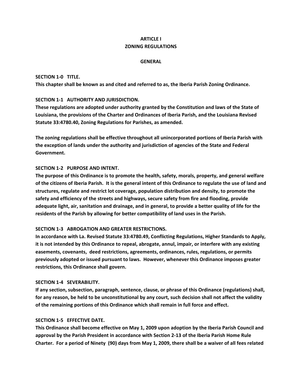# **ARTICLE I ZONING REGULATIONS**

## **GENERAL**

## **SECTION 1‐0 TITLE.**

**This chapter shall be known as and cited and referred to as, the Iberia Parish Zoning Ordinance.**

## **SECTION 1‐1 AUTHORITY AND JURISDICTION.**

**These regulations are adopted under authority granted by the Constitution and laws of the State of Louisiana, the provisions of the Charter and Ordinances of Iberia Parish, and the Louisiana Revised Statute 33:4780.40, Zoning Regulations for Parishes, as amended.** 

**The zoning regulations shall be effective throughout all unincorporated portions of Iberia Parish with the exception of lands under the authority and jurisdiction of agencies of the State and Federal Government.**

## **SECTION 1‐2 PURPOSE AND INTENT.**

**The purpose of this Ordinance is to promote the health, safety, morals, property, and general welfare** of the citizens of Iberia Parish. It is the general intent of this Ordinance to regulate the use of land and **structures, regulate and restrict lot coverage, population distribution and density, to promote the safety and efficiency of the streets and highways, secure safety from fire and flooding, provide** adequate light, air, sanitation and drainage, and in general, to provide a better quality of life for the **residents of the Parish by allowing for better compatibility of land uses in the Parish.**

## **SECTION 1‐3 ABROGATION AND GREATER RESTRICTIONS.**

**In accordance with La. Revised Statute 33:4780.49, Conflicting Regulations, Higher Standards to Apply, it is not intended by this Ordinance to repeal, abrogate, annul, impair, or interfere with any existing easements, covenants, deed restrictions, agreements, ordinances, rules, regulations, or permits previously adopted or issued pursuant to laws. However, whenever this Ordinance imposes greater restrictions, this Ordinance shall govern.**

## **SECTION 1‐4 SEVERABILITY.**

**If any section, subsection, paragraph, sentence, clause, or phrase of this Ordinance (regulations) shall,** for any reason, be held to be unconstitutional by any court, such decision shall not affect the validity **of the remaining portions of this Ordinance which shall remain in full force and effect.**

## **SECTION 1‐5 EFFECTIVE DATE.**

**This Ordinance shall become effective on May 1, 2009 upon adoption by the Iberia Parish Council and approval by the Parish President in accordance with Section 2‐13 of the Iberia Parish Home Rule** Charter. For a period of Ninety (90) days from May 1, 2009, there shall be a waiver of all fees related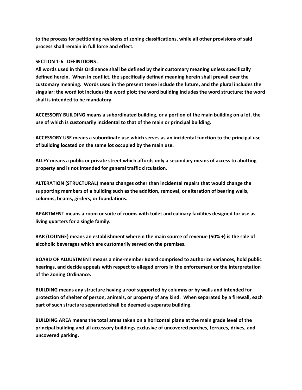**to the process for petitioning revisions of zoning classifications, while all other provisions of said process shall remain in full force and effect.**

# **SECTION 1‐6 DEFINITIONS .**

**All words used in this Ordinance shall be defined by their customary meaning unless specifically defined herein. When in conflict, the specifically defined meaning herein shall prevail over the customary meaning. Words used in the present tense include the future, and the plural includes the** singular: the word lot includes the word plot; the word building includes the word structure; the word **shall is intended to be mandatory.**

**ACCESSORY BUILDING means a subordinated building, or a portion of the main building on a lot, the use of which is customarily incidental to that of the main or principal building.**

**ACCESSORY USE means a subordinate use which serves as an incidental function to the principal use of building located on the same lot occupied by the main use.**

**ALLEY means a public or private street which affords only a secondary means of access to abutting property and is not intended for general traffic circulation.**

**ALTERATION (STRUCTURAL) means changes other than incidental repairs that would change the supporting members of a building such as the addition, removal, or alteration of bearing walls, columns, beams, girders, or foundations.**

**APARTMENT means a room or suite of rooms with toilet and culinary facilities designed for use as living quarters for a single family.**

**BAR (LOUNGE) means an establishment wherein the main source of revenue (50% +) is the sale of alcoholic beverages which are customarily served on the premises.**

**BOARD OF ADJUSTMENT means a nine‐member Board comprised to authorize variances, hold public hearings, and decide appeals with respect to alleged errors in the enforcement or the interpretation of the Zoning Ordinance.**

**BUILDING means any structure having a roof supported by columns or by walls and intended for** protection of shelter of person, animals, or property of any kind. When separated by a firewall, each **part of such structure separated shall be deemed a separate building.**

**BUILDING AREA means the total areas taken on a horizontal plane at the main grade level of the principal building and all accessory buildings exclusive of uncovered porches, terraces, drives, and uncovered parking.**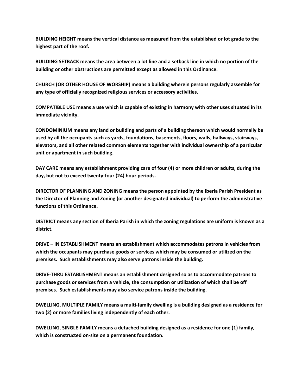**BUILDING HEIGHT means the vertical distance as measured from the established or lot grade to the highest part of the roof.**

BUILDING SETBACK means the area between a lot line and a setback line in which no portion of the **building or other obstructions are permitted except as allowed in this Ordinance.**

**CHURCH (OR OTHER HOUSE OF WORSHIP) means a building wherein persons regularly assemble for any type of officially recognized religious services or accessory activities.**

**COMPATIBLE USE means a use which is capable of existing in harmony with other uses situated in its immediate vicinity.**

**CONDOMINIUM means any land or building and parts of a building thereon which would normally be used by all the occupants such as yards, foundations, basements, floors, walls, hallways, stairways, elevators, and all other related common elements together with individual ownership of a particular unit or apartment in such building.**

**DAY CARE means any establishment providing care of four (4) or more children or adults, during the day, but not to exceed twenty‐four (24) hour periods.**

**DIRECTOR OF PLANNING AND ZONING means the person appointed by the Iberia Parish President as the Director of Planning and Zoning (or another designated individual) to perform the administrative functions of this Ordinance.**

DISTRICT means any section of Iberia Parish in which the zoning regulations are uniform is known as a **district.**

**DRIVE – IN ESTABLISHMENT means an establishment which accommodates patrons in vehicles from which the occupants may purchase goods or services which may be consumed or utilized on the premises. Such establishments may also serve patrons inside the building.** 

**DRIVE‐THRU ESTABLISHMENT means an establishment designed so as to accommodate patrons to purchase goods or services from a vehicle, the consumption or utilization of which shall be off premises. Such establishments may also service patrons inside the building.**

**DWELLING, MULTIPLE FAMILY means a multi‐family dwelling is a building designed as a residence for two (2) or more families living independently of each other.**

**DWELLING, SINGLE‐FAMILY means a detached building designed as a residence for one (1) family, which is constructed on‐site on a permanent foundation.**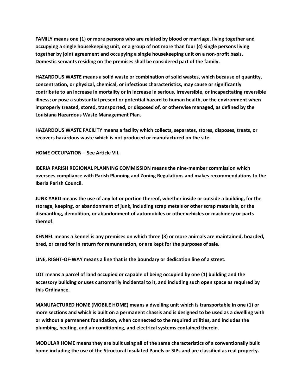**FAMILY means one (1) or more persons who are related by blood or marriage, living together and occupying a single housekeeping unit, or a group of not more than four (4) single persons living together by joint agreement and occupying a single housekeeping unit on a non‐profit basis. Domestic servants residing on the premises shall be considered part of the family.**

**HAZARDOUS WASTE means a solid waste or combination of solid wastes, which because of quantity, concentration, or physical, chemical, or infectious characteristics, may cause or significantly contribute to an increase in mortality or in increase in serious, irreversible, or incapacitating reversible illness; or pose a substantial present or potential hazard to human health, or the environment when improperly treated, stored, transported, or disposed of, or otherwise managed, as defined by the Louisiana Hazardous Waste Management Plan.**

**HAZARDOUS WASTE FACILITY means a facility which collects, separates, stores, disposes, treats, or recovers hazardous waste which is not produced or manufactured on the site.**

**HOME OCCUPATION – See Article VII.**

**IBERIA PARISH REGIONAL PLANNING COMMISSION means the nine‐member commission which oversees compliance with Parish Planning and Zoning Regulations and makes recommendations to the Iberia Parish Council.**

JUNK YARD means the use of any lot or portion thereof, whether inside or outside a building, for the **storage, keeping, or abandonment of junk, including scrap metals or other scrap materials, or the dismantling, demolition, or abandonment of automobiles or other vehicles or machinery or parts thereof.**

**KENNEL means a kennel is any premises on which three (3) or more animals are maintained, boarded, bred, or cared for in return for remuneration, or are kept for the purposes of sale.**

**LINE, RIGHT‐OF‐WAY means a line that is the boundary or dedication line of a street.**

**LOT means a parcel of land occupied or capable of being occupied by one (1) building and the accessory building or uses customarily incidental to it, and including such open space as required by this Ordinance.**

**MANUFACTURED HOME (MOBILE HOME) means a dwelling unit which is transportable in one (1) or** more sections and which is built on a permanent chassis and is designed to be used as a dwelling with **or without a permanent foundation, when connected to the required utilities, and includes the plumbing, heating, and air conditioning, and electrical systems contained therein.**

**MODULAR HOME means they are built using all of the same characteristics of a conventionally built** home including the use of the Structural Insulated Panels or SIPs and are classified as real property.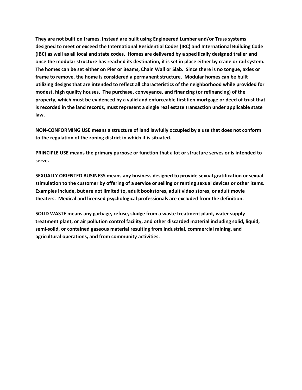**They are not built on frames, instead are built using Engineered Lumber and/or Truss systems designed to meet or exceed the International Residential Codes (IRC) and International Building Code** (IBC) as well as all local and state codes. Homes are delivered by a specifically designed trailer and once the modular structure has reached its destination, it is set in place either by crane or rail system. The homes can be set either on Pier or Beams, Chain Wall or Slab. Since there is no tongue, axles or **frame to remove, the home is considered a permanent structure. Modular homes can be built utilizing designs that are intended to reflect all characteristics of the neighborhood while provided for modest, high quality houses. The purchase, conveyance, and financing (or refinancing) of the** property, which must be evidenced by a valid and enforceable first lien mortgage or deed of trust that **is recorded in the land records, must represent a single real estate transaction under applicable state law.**

**NON‐CONFORMING USE means a structure of land lawfully occupied by a use that does not conform to the regulation of the zoning district in which it is situated.**

PRINCIPLE USE means the primary purpose or function that a lot or structure serves or is intended to **serve.** 

**SEXUALLY ORIENTED BUSINESS means any business designed to provide sexual gratification or sexual** stimulation to the customer by offering of a service or selling or renting sexual devices or other items. **Examples include, but are not limited to, adult bookstores, adult video stores, or adult movie theaters. Medical and licensed psychological professionals are excluded from the definition.**

**SOLID WASTE means any garbage, refuse, sludge from a waste treatment plant, water supply treatment plant, or air pollution control facility, and other discarded material including solid, liquid, semi‐solid, or contained gaseous material resulting from industrial, commercial mining, and agricultural operations, and from community activities.**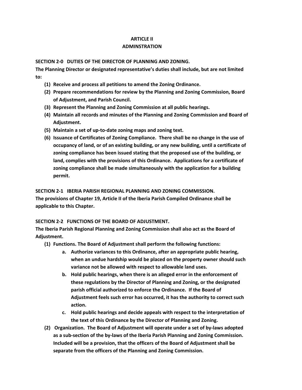## **ARTICLE II**

# **ADMINSTRATION**

**SECTION 2‐0 DUTIES OF THE DIRECTOR OF PLANNING AND ZONING.**

**The Planning Director or designated representative's duties shall include, but are not limited to:**

- **(1) Receive and process all petitions to amend the Zoning Ordinance.**
- **(2) Prepare recommendations for review by the Planning and Zoning Commission, Board of Adjustment, and Parish Council.**
- **(3) Represent the Planning and Zoning Commission at all public hearings.**
- **(4) Maintain all records and minutes of the Planning and Zoning Commission and Board of Adjustment.**
- **(5) Maintain a set of up‐to‐date zoning maps and zoning text.**
- **(6) Issuance of Certificates of Zoning Compliance. There shall be no change in the use of occupancy of land, or of an existing building, or any new building, until a certificate of zoning compliance has been issued stating that the proposed use of the building, or land, complies with the provisions of this Ordinance. Applications for a certificate of zoning compliance shall be made simultaneously with the application for a building permit.**

## **SECTION 2‐1 IBERIA PARISH REGIONAL PLANNING AND ZONING COMMISSION.**

**The provisions of Chapter 19, Article II of the Iberia Parish Compiled Ordinance shall be applicable to this Chapter.**

# **SECTION 2‐2 FUNCTIONS OF THE BOARD OF ADJUSTMENT.**

**The Iberia Parish Regional Planning and Zoning Commission shall also act as the Board of Adjustment.**

- **(1) Functions. The Board of Adjustment shall perform the following functions:**
	- **a. Authorize variances to this Ordinance, after an appropriate public hearing, when an undue hardship would be placed on the property owner should such variance not be allowed with respect to allowable land uses.**
	- **b. Hold public hearings, when there is an alleged error in the enforcement of these regulations by the Director of Planning and Zoning, or the designated parish official authorized to enforce the Ordinance. If the Board of Adjustment feels such error has occurred, it has the authority to correct such action.**
	- **c. Hold public hearings and decide appeals with respect to the interpretation of the text of this Ordinance by the Director of Planning and Zoning.**
- **(2) Organization. The Board of Adjustment will operate under a set of by‐laws adopted as a sub‐section of the by‐laws of the Iberia Parish Planning and Zoning Commission. Included will be a provision, that the officers of the Board of Adjustment shall be separate from the officers of the Planning and Zoning Commission.**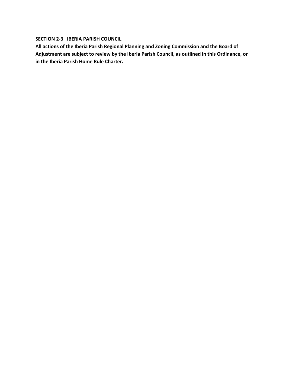**SECTION 2‐3 IBERIA PARISH COUNCIL.**

**All actions of the Iberia Parish Regional Planning and Zoning Commission and the Board of Adjustment are subject to review by the Iberia Parish Council, as outlined in this Ordinance, or in the Iberia Parish Home Rule Charter.**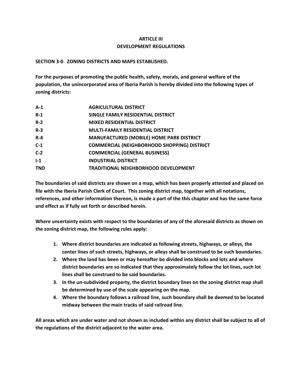# **ARTICLE III DEVELOPMENT REGULATIONS**

# **SECTION 3‐0 ZONING DISTRICTS AND MAPS ESTABLISHED.**

**For the purposes of promoting the public health, safety, morals, and general welfare of the population, the unincorporated area of Iberia Parish is hereby divided into the following types of zoning districts:**

| $R-1$<br>SINGLE FAMILY RESIDENTIAL DISTRICT<br>$R-2$<br><b>MIXED RESIDENTIAL DISTRICT</b><br>$R-3$<br><b>MULTI-FAMILY RESIDENTIAL DISTRICT</b><br><b>MANUFACTURED (MOBILE) HOME PARK DISTRICT</b><br>$R - 4$<br>$C-1$<br>$C-2$<br><b>COMMERCIAL (GENERAL BUSINESS)</b><br>$1-1$<br><b>INDUSTRIAL DISTRICT</b><br><b>TND</b><br><b>TRADITIONAL NEIGHBORHOOD DEVELOPMENT</b> | $A-1$ | <b>AGRICULTURAL DISTRICT</b>                       |
|----------------------------------------------------------------------------------------------------------------------------------------------------------------------------------------------------------------------------------------------------------------------------------------------------------------------------------------------------------------------------|-------|----------------------------------------------------|
|                                                                                                                                                                                                                                                                                                                                                                            |       |                                                    |
|                                                                                                                                                                                                                                                                                                                                                                            |       |                                                    |
|                                                                                                                                                                                                                                                                                                                                                                            |       |                                                    |
|                                                                                                                                                                                                                                                                                                                                                                            |       |                                                    |
|                                                                                                                                                                                                                                                                                                                                                                            |       | <b>COMMERCIAL (NEIGHBORHOOD SHOPPING) DISTRICT</b> |
|                                                                                                                                                                                                                                                                                                                                                                            |       |                                                    |
|                                                                                                                                                                                                                                                                                                                                                                            |       |                                                    |
|                                                                                                                                                                                                                                                                                                                                                                            |       |                                                    |

The boundaries of said districts are shown on a map, which has been properly attested and placed on **file with the Iberia Parish Clerk of Court. This zoning district map, together with all notations,** references, and other information thereon, is made a part of the this chapter and has the same force **and effect as if fully set forth or described herein.**

**Where uncertainty exists with respect to the boundaries of any of the aforesaid districts as shown on the zoning district map, the following rules apply:**

- **1. Where district boundaries are indicated as following streets, highways, or alleys, the center lines of such streets, highways, or alleys shall be construed to be such boundaries.**
- **2. Where the land has been or may hereafter be divided into blocks and lots and where district boundaries are so indicated that they approximately follow the lot lines, such lot lines shall be construed to be said boundaries.**
- **3. In the un‐subdivided property, the district boundary lines on the zoning district map shall be determined by use of the scale appearing on the map.**
- **4. Where the boundary follows a railroad line, such boundary shall be deemed to be located midway between the main tracks of said railroad line.**

All areas which are under water and not shown as included within any district shall be subject to all of **the regulations of the district adjacent to the water area.**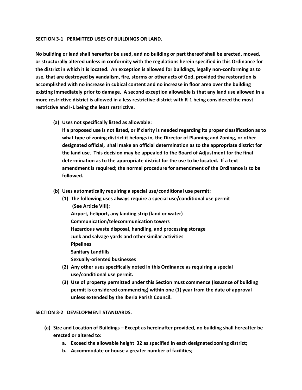## **SECTION 3‐1 PERMITTED USES OF BUILDINGS OR LAND.**

No building or land shall hereafter be used, and no building or part thereof shall be erected, moved, **or structurally altered unless in conformity with the regulations herein specified in this Ordinance for** the district in which it is located. An exception is allowed for buildings, legally non-conforming as to **use, that are destroyed by vandalism, fire, storms or other acts of God, provided the restoration is accomplished with no increase in cubical content and no increase in floor area over the building** existing immediately prior to damage. A second exception allowable is that any land use allowed in a more restrictive district is allowed in a less restrictive district with R-1 being considered the most **restrictive and I‐1 being the least restrictive.**

**(a) Uses not specifically listed as allowable:**

**If a proposed use is not listed, or if clarity is needed regarding its proper classification as to what type of zoning district it belongs in, the Director of Planning and Zoning, or other designated official, shall make an official determination as to the appropriate district for the land use. This decision may be appealed to the Board of Adjustment for the final determination as to the appropriate district for the use to be located. If a text amendment is required; the normal procedure for amendment of the Ordinance is to be followed.**

- **(b) Uses automatically requiring a special use/conditional use permit:**
	- **(1) The following uses always require a special use/conditional use permit (See Article VIII): Airport, heliport, any landing strip (land or water) Communication/telecommunication towers Hazardous waste disposal, handling, and processing storage Junk and salvage yards and other similar activities Pipelines Sanitary Landfills Sexually‐oriented businesses**
	- **(2) Any other uses specifically noted in this Ordinance as requiring a special use/conditional use permit.**
	- **(3) Use of property permitted under this Section must commence (issuance of building permit is considered commencing) within one (1) year from the date of approval unless extended by the Iberia Parish Council.**

# **SECTION 3‐2 DEVELOPMENT STANDARDS.**

- **(a) Size and Location of Buildings – Except as hereinafter provided, no building shall hereafter be erected or altered to:**
	- **a. Exceed the allowable height 32 as specified in each designated zoning district;**
	- **b. Accommodate or house a greater number of facilities;**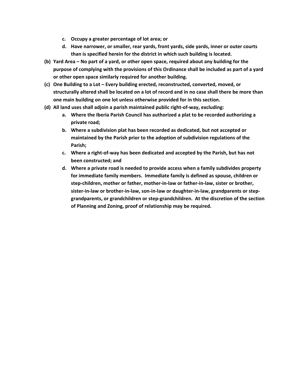- **c. Occupy a greater percentage of lot area; or**
- **d. Have narrower, or smaller, rear yards, front yards, side yards, inner or outer courts than is specified herein for the district in which such building is located.**
- **(b) Yard Area – No part of a yard, or other open space, required about any building for the purpose of complying with the provisions of this Ordinance shall be included as part of a yard or other open space similarly required for another building.**
- **(c) One Building to a Lot – Every building erected, reconstructed, converted, moved, or** structurally altered shall be located on a lot of record and in no case shall there be more than **one main building on one lot unless otherwise provided for in this section.**
- **(d) All land uses shall adjoin a parish maintained public right‐of‐way, excluding:**
	- **a. Where the Iberia Parish Council has authorized a plat to be recorded authorizing a private road;**
	- **b. Where a subdivision plat has been recorded as dedicated, but not accepted or maintained by the Parish prior to the adoption of subdivision regulations of the Parish;**
	- **c. Where a right‐of‐way has been dedicated and accepted by the Parish, but has not been constructed; and**
	- **d. Where a private road is needed to provide access when a family subdivides property for immediate family members. Immediate family is defined as spouse, children or step‐children, mother or father, mother‐in‐law or father‐in‐law, sister or brother,** sister-in-law or brother-in-law, son-in-law or daughter-in-law, grandparents or step**grandparents, or grandchildren or step‐grandchildren. At the discretion of the section of Planning and Zoning, proof of relationship may be required.**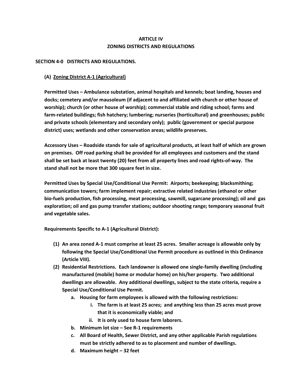# **ARTICLE IV ZONING DISTRICTS AND REGULATIONS**

## **SECTION 4‐0 DISTRICTS AND REGULATIONS.**

# **(A) Zoning District A‐1 (Agricultural)**

**Permitted Uses – Ambulance substation, animal hospitals and kennels; boat landing, houses and docks; cemetery and/or mausoleum (if adjacent to and affiliated with church or other house of worship); church (or other house of worship); commercial stable and riding school; farms and farm‐related buildings; fish hatchery; lumbering; nurseries (horticultural) and greenhouses; public and private schools (elementary and secondary only); public (government or special purpose district) uses; wetlands and other conservation areas; wildlife preserves.**

**Accessory Uses – Roadside stands for sale of agricultural products, at least half of which are grown on premises. Off road parking shall be provided for all employees and customers and the stand** shall be set back at least twenty (20) feet from all property lines and road rights-of-way. The **stand shall not be more that 300 square feet in size.**

**Permitted Uses by Special Use/Conditional Use Permit: Airports; beekeeping; blacksmithing; communication towers; farm implement repair; extractive related industries (ethanol or other bio‐fuels production, fish processing, meat processing, sawmill, sugarcane processing); oil and gas exploration; oil and gas pump transfer stations; outdoor shooting range; temporary seasonal fruit and vegetable sales.**

**Requirements Specific to A‐1 (Agricultural District):**

- (1) An area zoned A-1 must comprise at least 25 acres. Smaller acreage is allowable only by **following the Special Use/Conditional Use Permit procedure as outlined in this Ordinance (Article VIII).**
- **(2) Residential Restrictions. Each landowner is allowed one single‐family dwelling (including manufactured (mobile) home or modular home) on his/her property. Two additional dwellings are allowable. Any additional dwellings, subject to the state criteria, require a Special Use/Conditional Use Permit.**
	- **a. Housing for farm employees is allowed with the following restrictions:**
		- **i. The farm is at least 25 acres; and anything less than 25 acres must prove that it is economically viable; and**
		- **ii. It is only used to house farm laborers.**
	- **b. Minimum lot size – See R‐1 requirements**
	- **c. All Board of Health, Sewer District, and any other applicable Parish regulations must be strictly adhered to as to placement and number of dwellings.**
	- **d. Maximum height – 32 feet**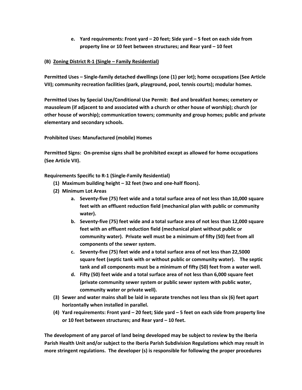**e. Yard requirements: Front yard – 20 feet; Side yard – 5 feet on each side from property line or 10 feet between structures; and Rear yard – 10 feet**

# **(B) Zoning District R‐1 (Single – Family Residential)**

**Permitted Uses – Single‐family detached dwellings (one (1) per lot); home occupations (See Article VII); community recreation facilities (park, playground, pool, tennis courts); modular homes.**

**Permitted Uses by Special Use/Conditional Use Permit: Bed and breakfast homes; cemetery or mausoleum (if adjacent to and associated with a church or other house of worship); church (or other house of worship); communication towers; community and group homes; public and private elementary and secondary schools.**

**Prohibited Uses: Manufactured (mobile) Homes**

**Permitted Signs: On‐premise signs shall be prohibited except as allowed for home occupations (See Article VII).**

**Requirements Specific to R‐1 (Single‐Family Residential)**

- **(1) Maximum building height – 32 feet (two and one‐half floors).**
- **(2) Minimum Lot Areas**
	- **a. Seventy‐five (75) feet wide and a total surface area of not less than 10,000 square feet with an effluent reduction field (mechanical plan with public or community water).**
	- **b. Seventy‐five (75) feet wide and a total surface area of not less than 12,000 square feet with an effluent reduction field (mechanical plant without public or community water). Private well must be a minimum of fifty (50) feet from all components of the sewer system.**
	- **c. Seventy‐five (75) feet wide and a total surface area of not less than 22,5000 square feet (septic tank with or without public or community water). The septic tank and all components must be a minimum of fifty (50) feet from a water well.**
	- **d. Fifty (50) feet wide and a total surface area of not less than 6,000 square feet (private community sewer system or public sewer system with public water, community water or private well).**
- **(3) Sewer and water mains shall be laid in separate trenches not less than six (6) feet apart horizontally when installed in parallel.**
- (4) Yard requirements: Front yard 20 feet; Side yard 5 feet on each side from property line **or 10 feet between structures; and Rear yard – 10 feet.**

**The development of any parcel of land being developed may be subject to review by the Iberia Parish Health Unit and/or subject to the Iberia Parish Subdivision Regulations which may result in more stringent regulations. The developer (s) is responsible for following the proper procedures**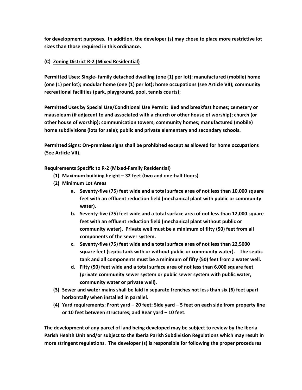**for development purposes. In addition, the developer (s) may chose to place more restrictive lot sizes than those required in this ordinance.**

# **(C) Zoning District R‐2 (Mixed Residential)**

**Permitted Uses: Single‐ family detached dwelling (one (1) per lot); manufactured (mobile) home (one (1) per lot); modular home (one (1) per lot); home occupations (see Article VII); community recreational facilities (park, playground, pool, tennis courts);**

**Permitted Uses by Special Use/Conditional Use Permit: Bed and breakfast homes; cemetery or mausoleum (if adjacent to and associated with a church or other house of worship); church (or other house of worship); communication towers; community homes; manufactured (mobile) home subdivisions (lots for sale); public and private elementary and secondary schools.**

**Permitted Signs: On‐premises signs shall be prohibited except as allowed for home occupations (See Article VII).**

**Requirements Specific to R‐2 (Mixed‐Family Residential)**

- **(1) Maximum building height – 32 feet (two and one‐half floors)**
- **(2) Minimum Lot Areas**
	- **a. Seventy‐five (75) feet wide and a total surface area of not less than 10,000 square feet with an effluent reduction field (mechanical plant with public or community water).**
	- **b. Seventy‐five (75) feet wide and a total surface area of not less than 12,000 square feet with an effluent reduction field (mechanical plant without public or community water). Private well must be a minimum of fifty (50) feet from all components of the sewer system.**
	- **c. Seventy‐five (75) feet wide and a total surface area of not less than 22,5000 square feet (septic tank with or without public or community water). The septic tank and all components must be a minimum of fifty (50) feet from a water well.**
	- **d. Fifty (50) feet wide and a total surface area of not less than 6,000 square feet (private community sewer system or public sewer system with public water, community water or private well).**
- **(3) Sewer and water mains shall be laid in separate trenches not less than six (6) feet apart horizontally when installed in parallel.**
- (4) Yard requirements: Front yard 20 feet; Side yard 5 feet on each side from property line **or 10 feet between structures; and Rear yard – 10 feet.**

**The development of any parcel of land being developed may be subject to review by the Iberia Parish Health Unit and/or subject to the Iberia Parish Subdivision Regulations which may result in more stringent regulations. The developer (s) is responsible for following the proper procedures**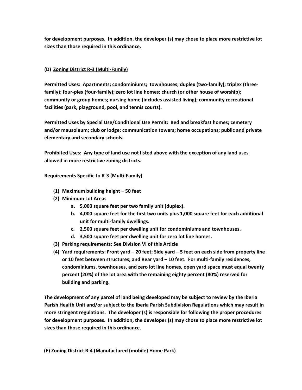**for development purposes. In addition, the developer (s) may chose to place more restrictive lot sizes than those required in this ordinance.**

# **(D) Zoning District R‐3 (Multi‐Family)**

**Permitted Uses: Apartments; condominiums; townhouses; duplex (two‐family); triplex (three‐ family); four‐plex (four‐family); zero lot line homes; church (or other house of worship); community or group homes; nursing home (includes assisted living); community recreational facilities (park, playground, pool, and tennis courts).**

**Permitted Uses by Special Use/Conditional Use Permit: Bed and breakfast homes; cemetery and/or mausoleum; club or lodge; communication towers; home occupations; public and private elementary and secondary schools.**

**Prohibited Uses: Any type of land use not listed above with the exception of any land uses allowed in more restrictive zoning districts.**

**Requirements Specific to R‐3 (Multi‐Family)**

- **(1) Maximum building height – 50 feet**
- **(2) Minimum Lot Areas**
	- **a. 5,000 square feet per two family unit (duplex).**
	- **b. 4,000 square feet for the first two units plus 1,000 square feet for each additional unit for multi‐family dwellings.**
	- **c. 2,500 square feet per dwelling unit for condominiums and townhouses.**
	- **d. 3,500 square feet per dwelling unit for zero lot line homes.**
- **(3) Parking requirements: See Division VI of this Article**
- (4) Yard requirements: Front yard 20 feet; Side yard 5 feet on each side from property line **or 10 feet between structures; and Rear yard – 10 feet. For multi‐family residences, condominiums, townhouses, and zero lot line homes, open yard space must equal twenty percent (20%) of the lot area with the remaining eighty percent (80%) reserved for building and parking.**

**The development of any parcel of land being developed may be subject to review by the Iberia Parish Health Unit and/or subject to the Iberia Parish Subdivision Regulations which may result in more stringent regulations. The developer (s) is responsible for following the proper procedures for development purposes. In addition, the developer (s) may chose to place more restrictive lot sizes than those required in this ordinance.**

 **(E) Zoning District R‐4 (Manufactured (mobile) Home Park)**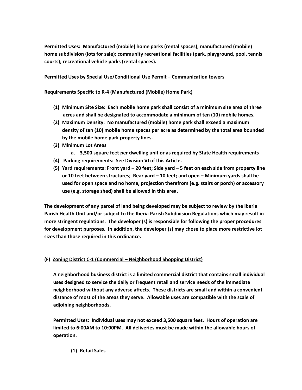**Permitted Uses: Manufactured (mobile) home parks (rental spaces); manufactured (mobile) home subdivision (lots for sale); community recreational facilities (park, playground, pool, tennis courts); recreational vehicle parks (rental spaces).**

**Permitted Uses by Special Use/Conditional Use Permit – Communication towers**

**Requirements Specific to R‐4 (Manufactured (Mobile) Home Park)**

- **(1) Minimum Site Size: Each mobile home park shall consist of a minimum site area of three acres and shall be designated to accommodate a minimum of ten (10) mobile homes.**
- **(2) Maximum Density: No manufactured (mobile) home park shall exceed a maximum density of ten (10) mobile home spaces per acre as determined by the total area bounded by the mobile home park property lines.**
- **(3) Minimum Lot Areas**
	- **a. 3,500 square feet per dwelling unit or as required by State Health requirements**
- **(4) Parking requirements: See Division VI of this Article.**
- (5) Yard requirements: Front yard 20 feet; Side yard 5 feet on each side from property line **or 10 feet between structures; Rear yard – 10 feet; and open – Minimum yards shall be used for open space and no home, projection therefrom (e.g. stairs or porch) or accessory use (e.g. storage shed) shall be allowed in this area.**

**The development of any parcel of land being developed may be subject to review by the Iberia Parish Health Unit and/or subject to the Iberia Parish Subdivision Regulations which may result in more stringent regulations. The developer (s) is responsible for following the proper procedures for development purposes. In addition, the developer (s) may chose to place more restrictive lot sizes than those required in this ordinance.**

# **(F) Zoning District C‐1 (Commercial – Neighborhood Shopping District)**

**A neighborhood business district is a limited commercial district that contains small individual uses designed to service the daily or frequent retail and service needs of the immediate neighborhood without any adverse affects. These districts are small and within a convenient distance of most of the areas they serve. Allowable uses are compatible with the scale of adjoining neighborhoods.**

**Permitted Uses: Individual uses may not exceed 3,500 square feet. Hours of operation are limited to 6:00AM to 10:00PM. All deliveries must be made within the allowable hours of operation.**

# **(1) Retail Sales**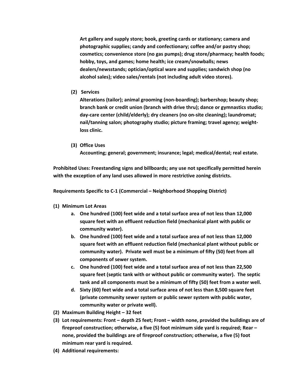**Art gallery and supply store; book, greeting cards or stationary; camera and photographic supplies; candy and confectionary; coffee and/or pastry shop; cosmetics; convenience store (no gas pumps); drug store/pharmacy; health foods; hobby, toys, and games; home health; ice cream/snowballs; news dealers/newsstands; optician/optical ware and supplies; sandwich shop (no alcohol sales); video sales/rentals (not including adult video stores).**

**(2) Services**

**Alterations (tailor); animal grooming (non‐boarding); barbershop; beauty shop; branch bank or credit union (branch with drive thru); dance or gymnastics studio; day‐care center (child/elderly); dry cleaners (no on‐site cleaning); laundromat; nail/tanning salon; photography studio; picture framing; travel agency; weight‐ loss clinic.**

**(3) Office Uses** 

**Accounting; general; government; insurance; legal; medical/dental; real estate.**

**Prohibited Uses: Freestanding signs and billboards; any use not specifically permitted herein with the exception of any land uses allowed in more restrictive zoning districts.**

**Requirements Specific to C‐1 (Commercial – Neighborhood Shopping District)**

- **(1) Minimum Lot Areas**
	- **a. One hundred (100) feet wide and a total surface area of not less than 12,000 square feet with an effluent reduction field (mechanical plant with public or community water).**
	- **b. One hundred (100) feet wide and a total surface area of not less than 12,000 square feet with an effluent reduction field (mechanical plant without public or community water). Private well must be a minimum of fifty (50) feet from all components of sewer system.**
	- **c. One hundred (100) feet wide and a total surface area of not less than 22,500 square feet (septic tank with or without public or community water). The septic tank and all components must be a minimum of fifty (50) feet from a water well.**
	- **d. Sixty (60) feet wide and a total surface area of not less than 8,500 square feet (private community sewer system or public sewer system with public water, community water or private well).**
- **(2) Maximum Building Height – 32 feet**
- **(3) Lot requirements: Front – depth 25 feet; Front – width none, provided the buildings are of fireproof construction; otherwise, a five (5) foot minimum side yard is required; Rear – none, provided the buildings are of fireproof construction; otherwise, a five (5) foot minimum rear yard is required.**
- **(4) Additional requirements:**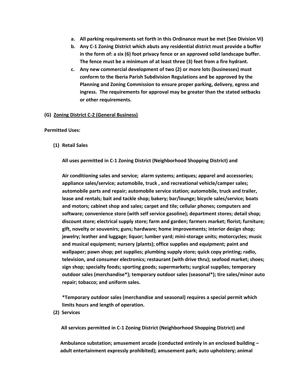- **a. All parking requirements set forth in this Ordinance must be met (See Division VI)**
- **b. Any C‐1 Zoning District which abuts any residential district must provide a buffer in the form of: a six (6) foot privacy fence or an approved solid landscape buffer. The fence must be a minimum of at least three (3) feet from a fire hydrant.**
- **c. Any new commercial development of two (2) or more lots (businesses) must conform to the Iberia Parish Subdivision Regulations and be approved by the Planning and Zoning Commission to ensure proper parking, delivery, egress and ingress. The requirements for approval may be greater than the stated setbacks or other requirements.**

## **(G) Zoning District C‐2 (General Business)**

## **Permitted Uses:**

**(1) Retail Sales**

**All uses permitted in C‐1 Zoning District (Neighborhood Shopping District) and** 

**Air conditioning sales and service; alarm systems; antiques; apparel and accessories; appliance sales/service; automobile, truck , and recreational vehicle/camper sales; automobile parts and repair; automobile service station; automobile, truck and trailer, lease and rentals; bait and tackle shop; bakery; bar/lounge; bicycle sales/service; boats and motors; cabinet shop and sales; carpet and tile; cellular phones; computers and software; convenience store (with self service gasoline); department stores; detail shop; discount store; electrical supply store; farm and garden; farmers market; florist; furniture; gift, novelty or souvenirs; guns; hardware; home improvements; interior design shop; jewelry; leather and luggage; liquor; lumber yard; mini‐storage units; motorcycles; music and musical equipment; nursery (plants); office supplies and equipment; paint and wallpaper; pawn shop; pet supplies; plumbing supply store; quick copy printing; radio, television, and consumer electronics; restaurant (with drive thru); seafood market; shoes; sign shop; specialty foods; sporting goods; supermarkets; surgical supplies; temporary outdoor sales (merchandise\*); temporary outdoor sales (seasonal\*); tire sales/minor auto repair; tobacco; and uniform sales.**

**\*Temporary outdoor sales (merchandise and seasonal) requires a special permit which limits hours and length of operation.**

 **(2) Services**

 **All services permitted in C‐1 Zoning District (Neighborhood Shopping District) and**

**Ambulance substation; amusement arcade (conducted entirely in an enclosed building – adult entertainment expressly prohibited); amusement park; auto upholstery; animal**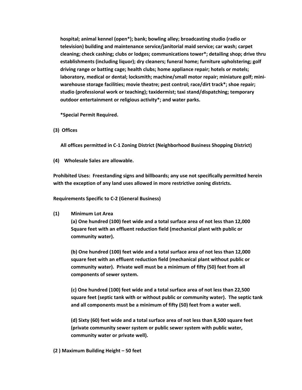**hospital; animal kennel (open\*); bank; bowling alley; broadcasting studio (radio or television) building and maintenance service/janitorial maid service; car wash; carpet cleaning; check cashing; clubs or lodges; communications tower\*; detailing shop; drive thru establishments (including liquor); dry cleaners; funeral home; furniture upholstering; golf driving range or batting cage; health clubs; home appliance repair; hotels or motels; laboratory, medical or dental; locksmith; machine/small motor repair; miniature golf; mini‐ warehouse storage facilities; movie theatre; pest control; race/dirt track\*; shoe repair; studio (professional work or teaching); taxidermist; taxi stand/dispatching; temporary outdoor entertainment or religious activity\*; and water parks.**

**\*Special Permit Required.**

**(3) Offices**

 **All offices permitted in C‐1 Zoning District (Neighborhood Business Shopping District)**

**(4) Wholesale Sales are allowable.**

**Prohibited Uses: Freestanding signs and billboards; any use not specifically permitted herein with the exception of any land uses allowed in more restrictive zoning districts.**

**Requirements Specific to C‐2 (General Business)**

**(1) Minimum Lot Area**

**(a) One hundred (100) feet wide and a total surface area of not less than 12,000 Square feet with an effluent reduction field (mechanical plant with public or community water).**

**(b) One hundred (100) feet wide and a total surface area of not less than 12,000 square feet with an effluent reduction field (mechanical plant without public or community water). Private well must be a minimum of fifty (50) feet from all components of sewer system.** 

**(c) One hundred (100) feet wide and a total surface area of not less than 22,500 square feet (septic tank with or without public or community water). The septic tank and all components must be a minimum of fifty (50) feet from a water well.**

**(d) Sixty (60) feet wide and a total surface area of not less than 8,500 square feet (private community sewer system or public sewer system with public water, community water or private well).**

**(2 ) Maximum Building Height – 50 feet**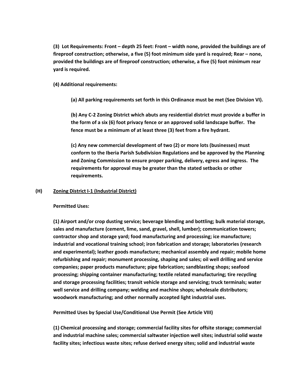**(3) Lot Requirements: Front – depth 25 feet: Front – width none, provided the buildings are of fireproof construction; otherwise, a five (5) foot minimum side yard is required; Rear – none, provided the buildings are of fireproof construction; otherwise, a five (5) foot minimum rear yard is required.**

# **(4) Additional requirements:**

**(a) All parking requirements set forth in this Ordinance must be met (See Division VI).**

**(b) Any C‐2 Zoning District which abuts any residential district must provide a buffer in the form of a six (6) foot privacy fence or an approved solid landscape buffer. The fence must be a minimum of at least three (3) feet from a fire hydrant.**

**(c) Any new commercial development of two (2) or more lots (businesses) must conform to the Iberia Parish Subdivision Regulations and be approved by the Planning and Zoning Commission to ensure proper parking, delivery, egress and ingress. The requirements for approval may be greater than the stated setbacks or other requirements.** 

## **(H) Zoning District I‐1 (Industrial District)**

## **Permitted Uses:**

**(1) Airport and/or crop dusting service; beverage blending and bottling; bulk material storage, sales and manufacture (cement, lime, sand, gravel, shell, lumber); communication towers; contractor shop and storage yard; food manufacturing and processing; ice manufacture; industrial and vocational training school; iron fabrication and storage; laboratories (research and experimental); leather goods manufacture; mechanical assembly and repair; mobile home refurbishing and repair; monument processing, shaping and sales; oil well drilling and service companies; paper products manufacture; pipe fabrication; sandblasting shops; seafood processing; shipping container manufacturing; textile related manufacturing; tire recycling and storage processing facilities; transit vehicle storage and servicing; truck terminals; water well service and drilling company; welding and machine shops; wholesale distributors; woodwork manufacturing; and other normally accepted light industrial uses.**

## **Permitted Uses by Special Use/Conditional Use Permit (See Article VIII)**

**(1) Chemical processing and storage; commercial facility sites for offsite storage; commercial and industrial machine sales; commercial saltwater injection well sites; industrial solid waste facility sites; infectious waste sites; refuse derived energy sites; solid and industrial waste**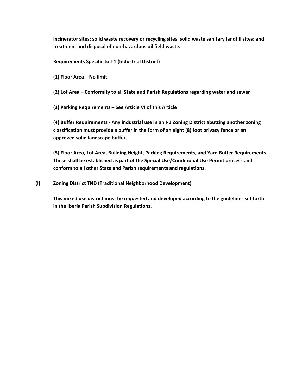**incinerator sites; solid waste recovery or recycling sites; solid waste sanitary landfill sites; and treatment and disposal of non‐hazardous oil field waste.**

**Requirements Specific to I‐1 (Industrial District)**

**(1) Floor Area – No limit**

**(2) Lot Area – Conformity to all State and Parish Regulations regarding water and sewer**

**(3) Parking Requirements – See Article VI of this Article**

**(4) Buffer Requirements ‐ Any industrial use in an I‐1 Zoning District abutting another zoning classification must provide a buffer in the form of an eight (8) foot privacy fence or an approved solid landscape buffer.**

**(5) Floor Area, Lot Area, Building Height, Parking Requirements, and Yard Buffer Requirements These shall be established as part of the Special Use/Conditional Use Permit process and conform to all other State and Parish requirements and regulations.**

# **(I) Zoning District TND (Traditional Neighborhood Development)**

**This mixed use district must be requested and developed according to the guidelines set forth in the Iberia Parish Subdivision Regulations.**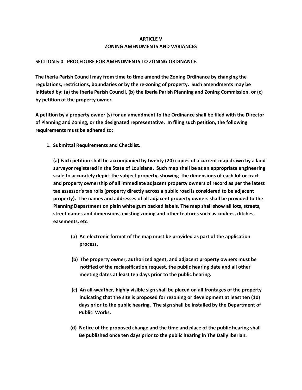# **ARTICLE V ZONING AMENDMENTS AND VARIANCES**

## **SECTION 5‐0 PROCEDURE FOR AMENDMENTS TO ZONING ORDINANCE.**

**The Iberia Parish Council may from time to time amend the Zoning Ordinance by changing the regulations, restrictions, boundaries or by the re‐zoning of property. Such amendments may be initiated by: (a) the Iberia Parish Council, (b) the Iberia Parish Planning and Zoning Commission, or (c) by petition of the property owner.**

A petition by a property owner (s) for an amendment to the Ordinance shall be filed with the Director **of Planning and Zoning, or the designated representative. In filing such petition, the following requirements must be adhered to:** 

 **1. Submittal Requirements and Checklist.** 

**(a) Each petition shall be accompanied by twenty (20) copies of a current map drawn by a land surveyor registered in the State of Louisiana. Such map shall be at an appropriate engineering scale to accurately depict the subject property, showing the dimensions of each lot or tract and property ownership of all immediate adjacent property owners of record as per the latest tax assessor's tax rolls (property directly across a public road is considered to be adjacent property). The names and addresses of all adjacent property owners shall be provided to the Planning Department on plain white gum backed labels. The map shall show all lots, streets, street names and dimensions, existing zoning and other features such as coulees, ditches, easements, etc.** 

- **(a) An electronic format of the map must be provided as part of the application process.**
- **(b) The property owner, authorized agent, and adjacent property owners must be notified of the reclassification request, the public hearing date and all other meeting dates at least ten days prior to the public hearing.**
- (c) An all-weather, highly visible sign shall be placed on all frontages of the property  **indicating that the site is proposed for rezoning or development at least ten (10) days prior to the public hearing. The sign shall be installed by the Department of Public Works.**
- (d) Notice of the proposed change and the time and place of the public hearing shall  **Be published once ten days prior to the public hearing in The Daily Iberian.**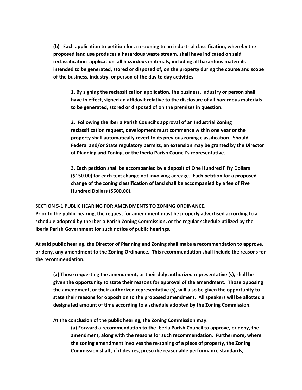**(b) Each application to petition for a re‐zoning to an industrial classification, whereby the proposed land use produces a hazardous waste stream, shall have indicated on said reclassification application all hazardous materials, including all hazardous materials intended to be generated, stored or disposed of, on the property during the course and scope of the business, industry, or person of the day to day activities.** 

**1. By signing the reclassification application, the business, industry or person shall have in effect, signed an affidavit relative to the disclosure of all hazardous materials to be generated, stored or disposed of on the premises in question.** 

**2. Following the Iberia Parish Council's approval of an Industrial Zoning reclassification request, development must commence within one year or the property shall automatically revert to its previous zoning classification. Should Federal and/or State regulatory permits, an extension may be granted by the Director of Planning and Zoning, or the Iberia Parish Council's representative.** 

**3. Each petition shall be accompanied by a deposit of One Hundred Fifty Dollars (\$150.00) for each text change not involving acreage. Each petition for a proposed change of the zoning classification of land shall be accompanied by a fee of Five Hundred Dollars (\$500.00).**

## **SECTION 5‐1 PUBLIC HEARING FOR AMENDMENTS TO ZONING ORDINANCE.**

**Prior to the public hearing, the request for amendment must be properly advertised according to a schedule adopted by the Iberia Parish Zoning Commission, or the regular schedule utilized by the Iberia Parish Government for such notice of public hearings.**

**At said public hearing, the Director of Planning and Zoning shall make a recommendation to approve, or deny, any amendment to the Zoning Ordinance. This recommendation shall include the reasons for the recommendation.** 

**(a) Those requesting the amendment, or their duly authorized representative (s), shall be given the opportunity to state their reasons for approval of the amendment. Those opposing the amendment, or their authorized representative (s), will also be given the opportunity to state their reasons for opposition to the proposed amendment. All speakers will be allotted a designated amount of time according to a schedule adopted by the Zoning Commission.**

**At the conclusion of the public hearing, the Zoning Commission may:**

**(a) Forward a recommendation to the Iberia Parish Council to approve, or deny, the amendment, along with the reasons for such recommendation. Furthermore, where the zoning amendment involves the re‐zoning of a piece of property, the Zoning Commission shall , if it desires, prescribe reasonable performance standards,**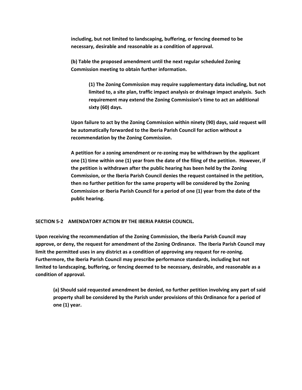**including, but not limited to landscaping, buffering, or fencing deemed to be necessary, desirable and reasonable as a condition of approval.**

**(b) Table the proposed amendment until the next regular scheduled Zoning Commission meeting to obtain further information.**

> **(1) The Zoning Commission may require supplementary data including, but not limited to, a site plan, traffic impact analysis or drainage impact analysis. Such requirement may extend the Zoning Commission's time to act an additional sixty (60) days.**

**Upon failure to act by the Zoning Commission within ninety (90) days, said request will be automatically forwarded to the Iberia Parish Council for action without a recommendation by the Zoning Commission.** 

**A petition for a zoning amendment or re‐zoning may be withdrawn by the applicant one (1) time within one (1) year from the date of the filing of the petition. However, if the petition is withdrawn after the public hearing has been held by the Zoning Commission, or the Iberia Parish Council denies the request contained in the petition, then no further petition for the same property will be considered by the Zoning Commission or Iberia Parish Council for a period of one (1) year from the date of the public hearing.** 

**SECTION 5‐2 AMENDATORY ACTION BY THE IBERIA PARISH COUNCIL.**

**Upon receiving the recommendation of the Zoning Commission, the Iberia Parish Council may approve, or deny, the request for amendment of the Zoning Ordinance. The Iberia Parish Council may** limit the permitted uses in any district as a condition of approving any request for re-zoning. **Furthermore, the Iberia Parish Council may prescribe performance standards, including but not limited to landscaping, buffering, or fencing deemed to be necessary, desirable, and reasonable as a condition of approval.**

**(a) Should said requested amendment be denied, no further petition involving any part of said property shall be considered by the Parish under provisions of this Ordinance for a period of one (1) year.**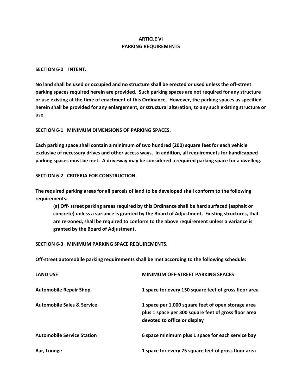# **ARTICLE VI PARKING REQUIREMENTS**

#### **SECTION 6‐0 INTENT.**

No land shall be used or occupied and no structure shall be erected or used unless the off-street **parking spaces required herein are provided. Such parking spaces are not required for any structure** or use existing at the time of enactment of this Ordinance. However, the parking spaces as specified **herein shall be provided for any enlargement, or structural alteration, to any such existing structure or use.**

## **SECTION 6‐1 MINIMUM DIMENSIONS OF PARKING SPACES.**

**Each parking space shall contain a minimum of two hundred (200) square feet for each vehicle exclusive of necessary drives and other access ways. In addition, all requirements for handicapped parking spaces must be met. A driveway may be considered a required parking space for a dwelling.**

## **SECTION 6‐2 CRITERIA FOR CONSTRUCTION.**

**The required parking areas for all parcels of land to be developed shall conform to the following requirements:**

**(a) Off‐ street parking areas required by this Ordinance shall be hard surfaced (asphalt or concrete) unless a variance is granted by the Board of Adjustment. Existing structures, that are re‐zoned, shall be required to conform to the above requirement unless a variance is granted by the Board of Adjustment.**

**SECTION 6‐3 MINIMUM PARKING SPACE REQUIREMENTS.**

**Off‐street automobile parking requirements shall be met according to the following schedule:**

| <b>LAND USE</b>                       | <b>MINIMUM OFF-STREET PARKING SPACES</b>                                                                                                   |
|---------------------------------------|--------------------------------------------------------------------------------------------------------------------------------------------|
| <b>Automobile Repair Shop</b>         | 1 space for every 150 square feet of gross floor area                                                                                      |
| <b>Automobile Sales &amp; Service</b> | 1 space per 1,000 square feet of open storage area<br>plus 1 space per 300 square feet of gross floor area<br>devoted to office or display |
| <b>Automobile Service Station</b>     | 6 space minimum plus 1 space for each service bay                                                                                          |
| Bar, Lounge                           | 1 space for every 75 square feet of gross floor area                                                                                       |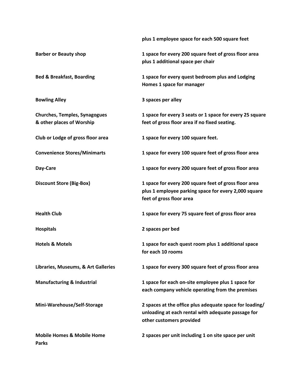**plus 1 employee space for each 500 square feet**

| <b>Barber or Beauty shop</b>                                      | 1 space for every 200 square feet of gross floor area<br>plus 1 additional space per chair                                                |  |
|-------------------------------------------------------------------|-------------------------------------------------------------------------------------------------------------------------------------------|--|
| <b>Bed &amp; Breakfast, Boarding</b>                              | 1 space for every quest bedroom plus and Lodging<br>Homes 1 space for manager                                                             |  |
| <b>Bowling Alley</b>                                              | 3 spaces per alley                                                                                                                        |  |
| <b>Churches, Temples, Synagogues</b><br>& other places of Worship | 1 space for every 3 seats or 1 space for every 25 square<br>feet of gross floor area if no fixed seating.                                 |  |
| Club or Lodge of gross floor area                                 | 1 space for every 100 square feet.                                                                                                        |  |
| <b>Convenience Stores/Minimarts</b>                               | 1 space for every 100 square feet of gross floor area                                                                                     |  |
| Day-Care                                                          | 1 space for every 200 square feet of gross floor area                                                                                     |  |
| <b>Discount Store (Big-Box)</b>                                   | 1 space for every 200 square feet of gross floor area<br>plus 1 employee parking space for every 2,000 square<br>feet of gross floor area |  |
| <b>Health Club</b>                                                | 1 space for every 75 square feet of gross floor area                                                                                      |  |
| <b>Hospitals</b>                                                  | 2 spaces per bed                                                                                                                          |  |
| <b>Hotels &amp; Motels</b>                                        | 1 space for each quest room plus 1 additional space<br>for each 10 rooms                                                                  |  |
| Libraries, Museums, & Art Galleries                               | 1 space for every 300 square feet of gross floor area                                                                                     |  |
| <b>Manufacturing &amp; Industrial</b>                             | 1 space for each on-site employee plus 1 space for<br>each company vehicle operating from the premises                                    |  |
| Mini-Warehouse/Self-Storage                                       | 2 spaces at the office plus adequate space for loading/<br>unloading at each rental with adequate passage for<br>other customers provided |  |
| <b>Mobile Homes &amp; Mobile Home</b><br><b>Parks</b>             | 2 spaces per unit including 1 on site space per unit                                                                                      |  |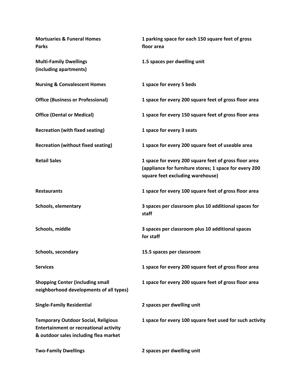| <b>Mortuaries &amp; Funeral Homes</b><br><b>Parks</b>                                                                                | 1 parking space for each 150 square feet of gross<br>floor area                                                                                     |
|--------------------------------------------------------------------------------------------------------------------------------------|-----------------------------------------------------------------------------------------------------------------------------------------------------|
| <b>Multi-Family Dwellings</b><br>(including apartments)                                                                              | 1.5 spaces per dwelling unit                                                                                                                        |
| <b>Nursing &amp; Convalescent Homes</b>                                                                                              | 1 space for every 5 beds                                                                                                                            |
| <b>Office (Business or Professional)</b>                                                                                             | 1 space for every 200 square feet of gross floor area                                                                                               |
| <b>Office (Dental or Medical)</b>                                                                                                    | 1 space for every 150 square feet of gross floor area                                                                                               |
| <b>Recreation (with fixed seating)</b>                                                                                               | 1 space for every 3 seats                                                                                                                           |
| <b>Recreation (without fixed seating)</b>                                                                                            | 1 space for every 200 square feet of useable area                                                                                                   |
| <b>Retail Sales</b>                                                                                                                  | 1 space for every 200 square feet of gross floor area<br>(appliance for furniture stores; 1 space for every 200<br>square feet excluding warehouse) |
| <b>Restaurants</b>                                                                                                                   | 1 space for every 100 square feet of gross floor area                                                                                               |
| <b>Schools, elementary</b>                                                                                                           | 3 spaces per classroom plus 10 additional spaces for<br>staff                                                                                       |
| Schools, middle                                                                                                                      | 3 spaces per classroom plus 10 additional spaces<br>for staff                                                                                       |
| Schools, secondary                                                                                                                   | 15.5 spaces per classroom                                                                                                                           |
| <b>Services</b>                                                                                                                      | 1 space for every 200 square feet of gross floor area                                                                                               |
| <b>Shopping Center (including small</b><br>neighborhood developments of all types)                                                   | 1 space for every 200 square feet of gross floor area                                                                                               |
| <b>Single-Family Residential</b>                                                                                                     | 2 spaces per dwelling unit                                                                                                                          |
| <b>Temporary Outdoor Social, Religious</b><br><b>Entertainment or recreational activity</b><br>& outdoor sales including flea market | 1 space for every 100 square feet used for such activity                                                                                            |
| <b>Two-Family Dwellings</b>                                                                                                          | 2 spaces per dwelling unit                                                                                                                          |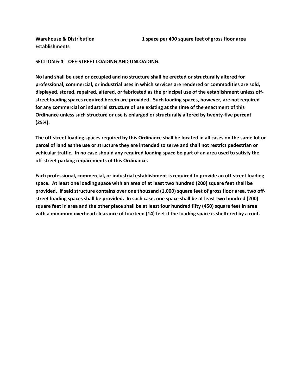**Establishments**

## **SECTION 6‐4 OFF‐STREET LOADING AND UNLOADING.**

**No land shall be used or occupied and no structure shall be erected or structurally altered for professional, commercial, or industrial uses in which services are rendered or commodities are sold, displayed, stored, repaired, altered, or fabricated as the principal use of the establishment unless off‐ street loading spaces required herein are provided. Such loading spaces, however, are not required for any commercial or industrial structure of use existing at the time of the enactment of this Ordinance unless such structure or use is enlarged or structurally altered by twenty‐five percent (25%).**

The off-street loading spaces required by this Ordinance shall be located in all cases on the same lot or parcel of land as the use or structure they are intended to serve and shall not restrict pedestrian or vehicular traffic. In no case should any required loading space be part of an area used to satisfy the **off‐street parking requirements of this Ordinance.** 

**Each professional, commercial, or industrial establishment is required to provide an off‐street loading** space. At least one loading space with an area of at least two hundred (200) square feet shall be provided. If said structure contains over one thousand (1,000) square feet of gross floor area, two offstreet loading spaces shall be provided. In such case, one space shall be at least two hundred (200) square feet in area and the other place shall be at least four hundred fifty (450) square feet in area with a minimum overhead clearance of fourteen (14) feet if the loading space is sheltered by a roof.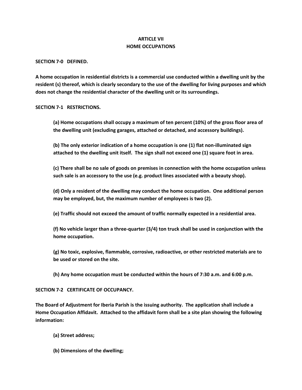# **ARTICLE VII HOME OCCUPATIONS**

**SECTION 7‐0 DEFINED.**

**A home occupation in residential districts is a commercial use conducted within a dwelling unit by the** resident (s) thereof, which is clearly secondary to the use of the dwelling for living purposes and which **does not change the residential character of the dwelling unit or its surroundings.**

**SECTION 7‐1 RESTRICTIONS.**

**(a) Home occupations shall occupy a maximum of ten percent (10%) of the gross floor area of the dwelling unit (excluding garages, attached or detached, and accessory buildings).**

**(b) The only exterior indication of a home occupation is one (1) flat non‐illuminated sign attached to the dwelling unit itself. The sign shall not exceed one (1) square foot in area.**

**(c) There shall be no sale of goods on premises in connection with the home occupation unless such sale is an accessory to the use (e.g. product lines associated with a beauty shop).**

**(d) Only a resident of the dwelling may conduct the home occupation. One additional person may be employed, but, the maximum number of employees is two (2).**

**(e) Traffic should not exceed the amount of traffic normally expected in a residential area.**

(f) No vehicle larger than a three-quarter (3/4) ton truck shall be used in conjunction with the **home occupation.**

**(g) No toxic, explosive, flammable, corrosive, radioactive, or other restricted materials are to be used or stored on the site.**

**(h) Any home occupation must be conducted within the hours of 7:30 a.m. and 6:00 p.m.**

**SECTION 7‐2 CERTIFICATE OF OCCUPANCY.**

**The Board of Adjustment for Iberia Parish is the issuing authority. The application shall include a Home Occupation Affidavit. Attached to the affidavit form shall be a site plan showing the following information:**

**(a) Street address;**

**(b) Dimensions of the dwelling;**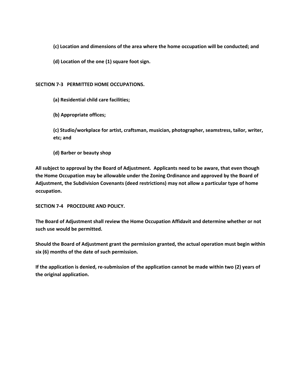**(c) Location and dimensions of the area where the home occupation will be conducted; and**

**(d) Location of the one (1) square foot sign.**

## **SECTION 7‐3 PERMITTED HOME OCCUPATIONS.**

**(a) Residential child care facilities;**

**(b) Appropriate offices;**

**(c) Studio/workplace for artist, craftsman, musician, photographer, seamstress, tailor, writer, etc; and**

**(d) Barber or beauty shop**

**All subject to approval by the Board of Adjustment. Applicants need to be aware, that even though the Home Occupation may be allowable under the Zoning Ordinance and approved by the Board of Adjustment, the Subdivision Covenants (deed restrictions) may not allow a particular type of home occupation.**

**SECTION 7‐4 PROCEDURE AND POLICY.**

**The Board of Adjustment shall review the Home Occupation Affidavit and determine whether or not such use would be permitted.**

**Should the Board of Adjustment grant the permission granted, the actual operation must begin within six (6) months of the date of such permission.**

If the application is denied, re-submission of the application cannot be made within two (2) years of **the original application.**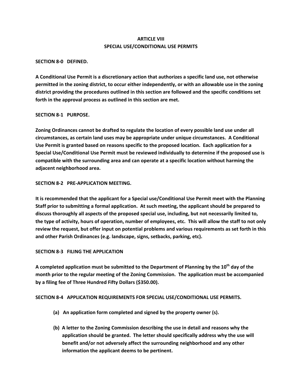# **ARTICLE VIII SPECIAL USE/CONDITIONAL USE PERMITS**

## **SECTION 8‐0 DEFINED.**

**A Conditional Use Permit is a discretionary action that authorizes a specific land use, not otherwise permitted in the zoning district, to occur either independently, or with an allowable use in the zoning district providing the procedures outlined in this section are followed and the specific conditions set forth in the approval process as outlined in this section are met.**

## **SECTION 8‐1 PURPOSE.**

**Zoning Ordinances cannot be drafted to regulate the location of every possible land use under all circumstances, as certain land uses may be appropriate under unique circumstances. A Conditional Use Permit is granted based on reasons specific to the proposed location. Each application for a Special Use/Conditional Use Permit must be reviewed individually to determine if the proposed use is compatible with the surrounding area and can operate at a specific location without harming the adjacent neighborhood area.**

# **SECTION 8‐2 PRE‐APPLICATION MEETING.**

**It is recommended that the applicant for a Special use/Conditional Use Permit meet with the Planning Staff prior to submitting a formal application. At such meeting, the applicant should be prepared to discuss thoroughly all aspects of the proposed special use, including, but not necessarily limited to,** the type of activity, hours of operation, number of employees, etc. This will allow the staff to not only **review the request, but offer input on potential problems and various requirements as set forth in this and other Parish Ordinances (e.g. landscape, signs, setbacks, parking, etc).**

# **SECTION 8‐3 FILING THE APPLICATION**

**A completed application must be submitted to the Department of Planning by the 10th day of the month prior to the regular meeting of the Zoning Commission. The application must be accompanied by a filing fee of Three Hundred Fifty Dollars (\$350.00).**

## **SECTION 8‐4 APPLICATION REQUIREMENTS FOR SPECIAL USE/CONDITIONAL USE PERMITS.**

- **(a) An application form completed and signed by the property owner (s).**
- **(b) A letter to the Zoning Commission describing the use in detail and reasons why the application should be granted. The letter should specifically address why the use will benefit and/or not adversely affect the surrounding neighborhood and any other information the applicant deems to be pertinent.**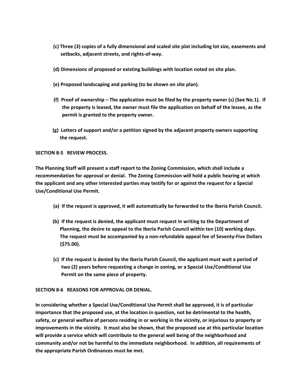- **(c) Three (3) copies of a fully dimensional and scaled site plat including lot size, easements and setbacks, adjacent streets, and rights‐of‐way.**
- **(d) Dimensions of proposed or existing buildings with location noted on site plan.**
- **(e) Proposed landscaping and parking (to be shown on site plan).**
- (f) Proof of ownership The application must be filed by the property owner (s) (See No.1). If **the property is leased, the owner must file the application on behalf of the lessee, as the permit is granted to the property owner.**
- (g) Letters of support and/or a petition signed by the adjacent property owners supporting **the request.**

**SECTION 8‐5 REVIEW PROCESS.**

**The Planning Staff will present a staff report to the Zoning Commission, which shall include a recommendation for approval or denial. The Zoning Commission will hold a public hearing at which the applicant and any other interested parties may testify for or against the request for a Special Use/Conditional Use Permit.**

- (a) If the request is approved, it will automatically be forwarded to the Iberia Parish Council.
- (b) If the request is denied, the applicant must request in writing to the Department of **Planning, the desire to appeal to the Iberia Parish Council within ten (10) working days. The request must be accompanied by a non‐refundable appeal fee of Seventy‐Five Dollars (\$75.00).**
- (c) If the request is denied by the Iberia Parish Council, the applicant must wait a period of two (2) years before requesting a change in zoning, or a Special Use/Conditional Use  **Permit on the same piece of property.**

## **SECTION 8‐6 REASONS FOR APPROVAL OR DENIAL.**

**In considering whether a Special Use/Conditional Use Permit shall be approved, it is of particular importance that the proposed use, at the location in question, not be detrimental to the health,** safety, or general welfare of persons residing in or working in the vicinity, or injurious to property or improvements in the vicinity. It must also be shown, that the proposed use at this particular location **will provide a service which will contribute to the general well being of the neighborhood and community and/or not be harmful to the immediate neighborhood. In addition, all requirements of the appropriate Parish Ordinances must be met.**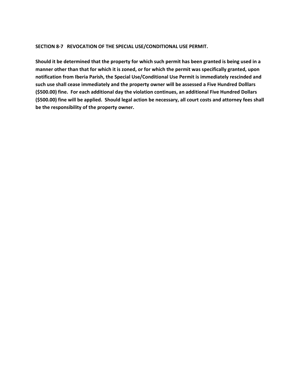## **SECTION 8‐7 REVOCATION OF THE SPECIAL USE/CONDITIONAL USE PERMIT.**

Should it be determined that the property for which such permit has been granted is being used in a manner other than that for which it is zoned, or for which the permit was specifically granted, upon **notification from Iberia Parish, the Special Use/Conditional Use Permit is immediately rescinded and such use shall cease immediately and the property owner will be assessed a Five Hundred Dolllars (\$500.00) fine. For each additional day the violation continues, an additional Five Hundred Dollars** (\$500.00) fine will be applied. Should legal action be necessary, all court costs and attorney fees shall **be the responsibility of the property owner.**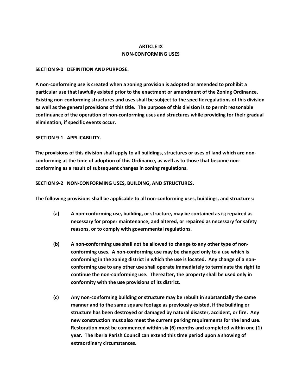# **ARTICLE IX NON‐CONFORMING USES**

## **SECTION 9‐0 DEFINITION AND PURPOSE.**

**A non‐conforming use is created when a zoning provision is adopted or amended to prohibit a particular use that lawfully existed prior to the enactment or amendment of the Zoning Ordinance. Existing non‐conforming structures and uses shall be subject to the specific regulations of this division** as well as the general provisions of this title. The purpose of this division is to permit reasonable **continuance of the operation of non‐conforming uses and structures while providing for their gradual elimination, if specific events occur.** 

**SECTION 9‐1 APPLICABILITY.**

The provisions of this division shall apply to all buildings, structures or uses of land which are non**conforming at the time of adoption of this Ordinance, as well as to those that become non‐ conforming as a result of subsequent changes in zoning regulations.**

**SECTION 9‐2 NON‐CONFORMING USES, BUILDING, AND STRUCTURES.**

**The following provisions shall be applicable to all non‐conforming uses, buildings, and structures:** 

- **(a) A non‐conforming use, building, or structure, may be contained as is; repaired as necessary for proper maintenance; and altered, or repaired as necessary for safety reasons, or to comply with governmental regulations.**
- **(b) A non‐conforming use shall not be allowed to change to any other type of non‐ conforming uses. A non‐conforming use may be changed only to a use which is conforming in the zoning district in which the use is located. Any change of a non‐ conforming use to any other use shall operate immediately to terminate the right to continue the non‐conforming use. Thereafter, the property shall be used only in conformity with the use provisions of its district.**
- **(c) Any non‐conforming building or structure may be rebuilt in substantially the same manner and to the same square footage as previously existed, if the building or structure has been destroyed or damaged by natural disaster, accident, or fire. Any new construction must also meet the current parking requirements for the land use. Restoration must be commenced within six (6) months and completed within one (1) year. The Iberia Parish Council can extend this time period upon a showing of extraordinary circumstances.**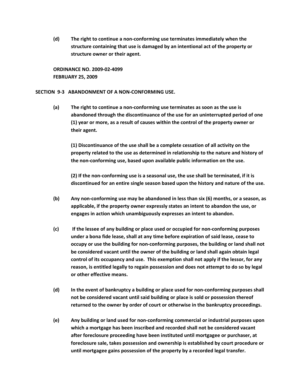**(d) The right to continue a non‐conforming use terminates immediately when the structure containing that use is damaged by an intentional act of the property or structure owner or their agent.**

**ORDINANCE NO. 2009‐02‐4099 FEBRUARY 25, 2009**

## **SECTION 9‐3 ABANDONMENT OF A NON‐CONFORMING USE.**

**(a) The right to continue a non‐conforming use terminates as soon as the use is abandoned through the discontinuance of the use for an uninterrupted period of one (1) year or more, as a result of causes within the control of the property owner or their agent.**

**(1) Discontinuance of the use shall be a complete cessation of all activity on the property related to the use as determined in relationship to the nature and history of the non‐conforming use, based upon available public information on the use.**

**(2) If the non‐conforming use is a seasonal use, the use shall be terminated, if it is discontinued for an entire single season based upon the history and nature of the use.**

- **(b) Any non‐conforming use may be abandoned in less than six (6) months, or a season, as applicable, if the property owner expressly states an intent to abandon the use, or engages in action which unambiguously expresses an intent to abandon.**
- **(c) If the lessee of any building or place used or occupied for non‐conforming purposes under a bona fide lease, shall at any time before expiration of said lease, cease to occupy or use the building for non‐conforming purposes, the building or land shall not be considered vacant until the owner of the building or land shall again obtain legal control of its occupancy and use. This exemption shall not apply if the lessor, for any reason, is entitled legally to regain possession and does not attempt to do so by legal or other effective means.**
- **(d) In the event of bankruptcy a building or place used for non‐conforming purposes shall not be considered vacant until said building or place is sold or possession thereof returned to the owner by order of court or otherwise in the bankruptcy proceedings.**
- **(e) Any building or land used for non‐conforming commercial or industrial purposes upon which a mortgage has been inscribed and recorded shall not be considered vacant after foreclosure proceeding have been instituted until mortgagee or purchaser, at foreclosure sale, takes possession and ownership is established by court procedure or until mortgagee gains possession of the property by a recorded legal transfer.**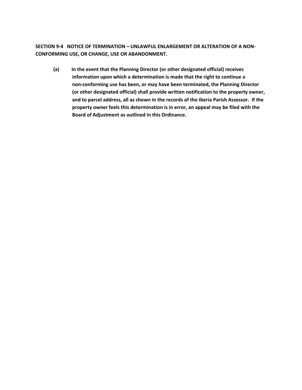**SECTION 9‐4 NOTICE OF TERMINATION – UNLAWFUL ENLARGEMENT OR ALTERATION OF A NON‐ CONFORMING USE, OR CHANGE, USE OR ABANDONMENT.**

**(a) In the event that the Planning Director (or other designated official) receives information upon which a determination is made that the right to continue a non‐conforming use has been, or may have been terminated, the Planning Director (or other designated official) shall provide written notification to the property owner, and to parcel address, all as shown in the records of the Iberia Parish Assessor. If the property owner feels this determination is in error, an appeal may be filed with the Board of Adjustment as outlined in this Ordinance.**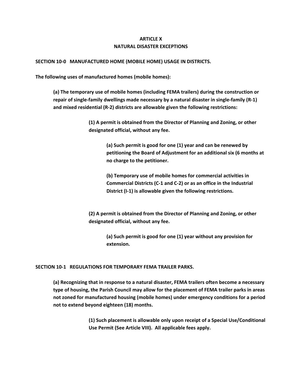# **ARTICLE X NATURAL DISASTER EXCEPTIONS**

## **SECTION 10‐0 MANUFACTURED HOME (MOBILE HOME) USAGE IN DISTRICTS.**

**The following uses of manufactured homes (mobile homes):**

**(a) The temporary use of mobile homes (including FEMA trailers) during the construction or** repair of single-family dwellings made necessary by a natural disaster in single-family (R-1) **and mixed residential (R‐2) districts are allowable given the following restrictions:**

> **(1) A permit is obtained from the Director of Planning and Zoning, or other designated official, without any fee.**

> > **(a) Such permit is good for one (1) year and can be renewed by petitioning the Board of Adjustment for an additional six (6 months at no charge to the petitioner.**

**(b) Temporary use of mobile homes for commercial activities in Commercial Districts (C‐1 and C‐2) or as an office in the Industrial District (I‐1) is allowable given the following restrictions.**

**(2) A permit is obtained from the Director of Planning and Zoning, or other designated official, without any fee.**

> **(a) Such permit is good for one (1) year without any provision for extension.**

## **SECTION 10‐1 REGULATIONS FOR TEMPORARY FEMA TRAILER PARKS.**

**(a) Recognizing that in response to a natural disaster, FEMA trailers often become a necessary type of housing, the Parish Council may allow for the placement of FEMA trailer parks in areas not zoned for manufactured housing (mobile homes) under emergency conditions for a period not to extend beyond eighteen (18) months.**

> **(1) Such placement is allowable only upon receipt of a Special Use/Conditional Use Permit (See Article VIII). All applicable fees apply.**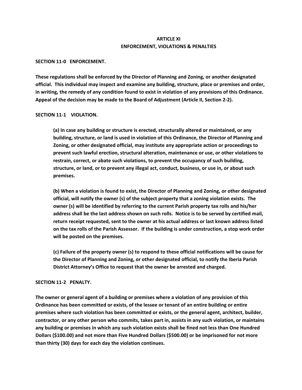# **ARTICLE XI ENFORCEMENT, VIOLATIONS & PENALTIES**

#### **SECTION 11‐0 ENFORCEMENT.**

**These regulations shall be enforced by the Director of Planning and Zoning, or another designated official. This individual may inspect and examine any building, structure, place or premises and order,** in writing, the remedy of any condition found to exist in violation of any provisions of this Ordinance. **Appeal of the decision may be made to the Board of Adjustment (Article II, Section 2‐2).**

#### **SECTION 11‐1 VIOLATION.**

**(a) In case any building or structure is erected, structurally altered or maintained, or any building, structure, or land is used in violation of this Ordinance, the Director of Planning and Zoning, or other designated official, may institute any appropriate action or proceedings to prevent such lawful erection, structural alteration, maintenance or use, or other violations to restrain, correct, or abate such violations, to prevent the occupancy of such building, structure, or land, or to prevent any illegal act, conduct, business, or use in, or about such premises.**

**(b) When a violation is found to exist, the Director of Planning and Zoning, or other designated official, will notify the owner (s) of the subject property that a zoning violation exists. The owner (s) will be identified by referring to the current Parish property tax rolls and his/her** address shall be the last address shown on such rolls. Notice is to be served by certified mail, **return receipt requested, sent to the owner at his actual address or last known address listed** on the tax rolls of the Parish Assessor. If the building is under construction, a stop work order **will be posted on the premises.**

**(c) Failure of the property owner (s) to respond to these official notifications will be cause for the Director of Planning and Zoning, or other designated official, to notify the Iberia Parish District Attorney's Office to request that the owner be arrested and charged.**

## **SECTION 11‐2 PENALTY.**

**The owner or general agent of a building or premises where a violation of any provision of this Ordinance has been committed or exists, of the lessee or tenant of an entire building or entire premises where such violation has been committed or exists, or the general agent, architect, builder, contractor, or any other person who commits, takes part in, assists in any such violation, or maintains** any building or premises in which any such violation exists shall be fined not less than One Hundred **Dollars (\$100.00) and not more than Five Hundred Dollars (\$500.00) or be imprisoned for not more than thirty (30) days for each day the violation continues.**